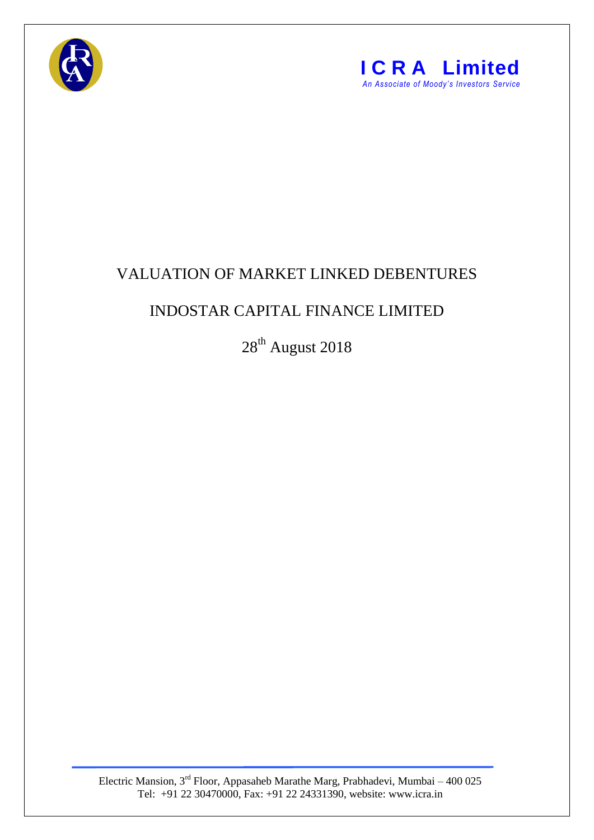



## VALUATION OF MARKET LINKED DEBENTURES

## INDOSTAR CAPITAL FINANCE LIMITED

28<sup>th</sup> August 2018

Electric Mansion, 3<sup>rd</sup> Floor, Appasaheb Marathe Marg, Prabhadevi, Mumbai – 400 025 Tel: +91 22 30470000, Fax: +91 22 24331390, website: www.icra.in